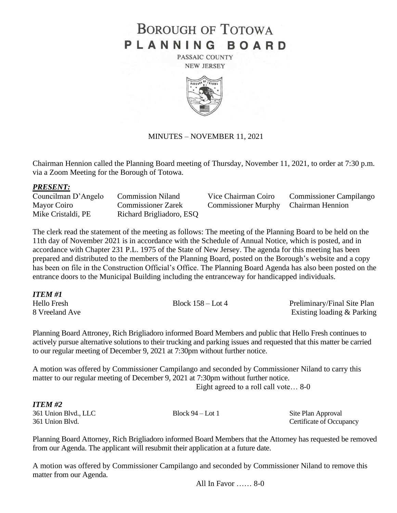# **BOROUGH OF TOTOWA** PLANNING BOARD

PASSAIC COUNTY **NEW JERSEY** 



# MINUTES – NOVEMBER 11, 2021

Chairman Hennion called the Planning Board meeting of Thursday, November 11, 2021, to order at 7:30 p.m. via a Zoom Meeting for the Borough of Totowa.

# *PRESENT:*

| Councilman D'Angelo | <b>Commission Niland</b>  | Vice Chairman Coiro                  | <b>Commissioner Campilango</b> |
|---------------------|---------------------------|--------------------------------------|--------------------------------|
| Mayor Coiro         | <b>Commissioner Zarek</b> | Commissioner Murphy Chairman Hennion |                                |
| Mike Cristaldi, PE  | Richard Brigliadoro, ESQ  |                                      |                                |

The clerk read the statement of the meeting as follows: The meeting of the Planning Board to be held on the 11th day of November 2021 is in accordance with the Schedule of Annual Notice, which is posted, and in accordance with Chapter 231 P.L. 1975 of the State of New Jersey. The agenda for this meeting has been prepared and distributed to the members of the Planning Board, posted on the Borough's website and a copy has been on file in the Construction Official's Office. The Planning Board Agenda has also been posted on the entrance doors to the Municipal Building including the entranceway for handicapped individuals.

| ITEM #1        |                     |                             |
|----------------|---------------------|-----------------------------|
| Hello Fresh    | Block $158 -$ Lot 4 | Preliminary/Final Site Plan |
| 8 Vreeland Ave |                     | Existing loading & Parking  |

Planning Board Attroney, Rich Brigliadoro informed Board Members and public that Hello Fresh continues to actively pursue alternative solutions to their trucking and parking issues and requested that this matter be carried to our regular meeting of December 9, 2021 at 7:30pm without further notice.

A motion was offered by Commissioner Campilango and seconded by Commissioner Niland to carry this matter to our regular meeting of December 9, 2021 at 7:30pm without further notice.

Eight agreed to a roll call vote… 8-0

# *ITEM #2*

361 Union Blvd., LLC Block 94 – Lot 1 Site Plan Approval 361 Union Blvd. Certificate of Occupancy

Planning Board Attorney, Rich Brigliadoro informed Board Members that the Attorney has requested be removed from our Agenda. The applicant will resubmit their application at a future date.

A motion was offered by Commissioner Campilango and seconded by Commissioner Niland to remove this matter from our Agenda.

All In Favor …… 8-0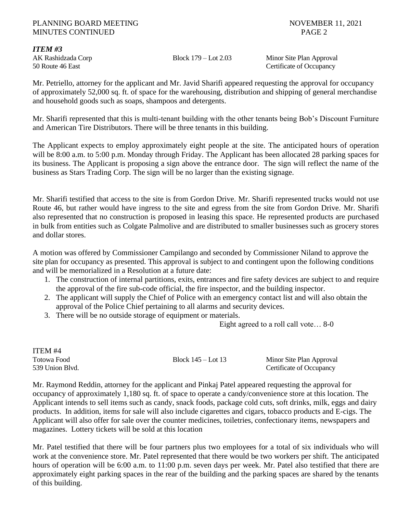# PLANNING BOARD MEETING NOVEMBER 11, 2021 MINUTES CONTINUED PAGE 2

# *ITEM #3*

AK Rashidzada Corp Block 179 – Lot 2.03 Minor Site Plan Approval 50 Route 46 East Certificate of Occupancy

Mr. Petriello, attorney for the applicant and Mr. Javid Sharifi appeared requesting the approval for occupancy of approximately 52,000 sq. ft. of space for the warehousing, distribution and shipping of general merchandise and household goods such as soaps, shampoos and detergents.

Mr. Sharifi represented that this is multi-tenant building with the other tenants being Bob's Discount Furniture and American Tire Distributors. There will be three tenants in this building.

The Applicant expects to employ approximately eight people at the site. The anticipated hours of operation will be 8:00 a.m. to 5:00 p.m. Monday through Friday. The Applicant has been allocated 28 parking spaces for its business. The Applicant is proposing a sign above the entrance door. The sign will reflect the name of the business as Stars Trading Corp. The sign will be no larger than the existing signage.

Mr. Sharifi testified that access to the site is from Gordon Drive. Mr. Sharifi represented trucks would not use Route 46, but rather would have ingress to the site and egress from the site from Gordon Drive. Mr. Sharifi also represented that no construction is proposed in leasing this space. He represented products are purchased in bulk from entities such as Colgate Palmolive and are distributed to smaller businesses such as grocery stores and dollar stores.

A motion was offered by Commissioner Campilango and seconded by Commissioner Niland to approve the site plan for occupancy as presented. This approval is subject to and contingent upon the following conditions and will be memorialized in a Resolution at a future date:

- 1. The construction of internal partitions, exits, entrances and fire safety devices are subject to and require the approval of the fire sub-code official, the fire inspector, and the building inspector.
- 2. The applicant will supply the Chief of Police with an emergency contact list and will also obtain the approval of the Police Chief pertaining to all alarms and security devices.
- 3. There will be no outside storage of equipment or materials.

Eight agreed to a roll call vote… 8-0

| ITEM <sub>#4</sub> |                      |                          |
|--------------------|----------------------|--------------------------|
| Totowa Food        | Block $145 -$ Lot 13 | Minor Site Plan Approval |
| 539 Union Blvd.    |                      | Certificate of Occupancy |

Mr. Raymond Reddin, attorney for the applicant and Pinkaj Patel appeared requesting the approval for occupancy of approximately 1,180 sq. ft. of space to operate a candy/convenience store at this location. The Applicant intends to sell items such as candy, snack foods, package cold cuts, soft drinks, milk, eggs and dairy products. In addition, items for sale will also include cigarettes and cigars, tobacco products and E-cigs. The Applicant will also offer for sale over the counter medicines, toiletries, confectionary items, newspapers and magazines. Lottery tickets will be sold at this location

Mr. Patel testified that there will be four partners plus two employees for a total of six individuals who will work at the convenience store. Mr. Patel represented that there would be two workers per shift. The anticipated hours of operation will be 6:00 a.m. to 11:00 p.m. seven days per week. Mr. Patel also testified that there are approximately eight parking spaces in the rear of the building and the parking spaces are shared by the tenants of this building.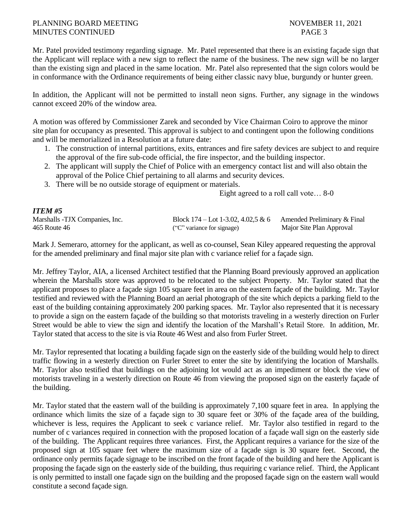# PLANNING BOARD MEETING NOVEMBER 11, 2021 MINUTES CONTINUED PAGE 3

Mr. Patel provided testimony regarding signage. Mr. Patel represented that there is an existing façade sign that the Applicant will replace with a new sign to reflect the name of the business. The new sign will be no larger than the existing sign and placed in the same location. Mr. Patel also represented that the sign colors would be in conformance with the Ordinance requirements of being either classic navy blue, burgundy or hunter green.

In addition, the Applicant will not be permitted to install neon signs. Further, any signage in the windows cannot exceed 20% of the window area.

A motion was offered by Commissioner Zarek and seconded by Vice Chairman Coiro to approve the minor site plan for occupancy as presented. This approval is subject to and contingent upon the following conditions and will be memorialized in a Resolution at a future date:

- 1. The construction of internal partitions, exits, entrances and fire safety devices are subject to and require the approval of the fire sub-code official, the fire inspector, and the building inspector.
- 2. The applicant will supply the Chief of Police with an emergency contact list and will also obtain the approval of the Police Chief pertaining to all alarms and security devices.
- 3. There will be no outside storage of equipment or materials.

Eight agreed to a roll call vote… 8-0

# *ITEM #5*

| Marshalls -TJX Companies, Inc. | Block 174 – Lot 1-3.02, 4.02,5 & 6 Amended Preliminary & Final |                          |
|--------------------------------|----------------------------------------------------------------|--------------------------|
| 465 Route 46                   | ("C" variance for signage)                                     | Major Site Plan Approval |

Mark J. Semeraro, attorney for the applicant, as well as co-counsel, Sean Kiley appeared requesting the approval for the amended preliminary and final major site plan with c variance relief for a façade sign.

Mr. Jeffrey Taylor, AIA, a licensed Architect testified that the Planning Board previously approved an application wherein the Marshalls store was approved to be relocated to the subject Property. Mr. Taylor stated that the applicant proposes to place a façade sign 105 square feet in area on the eastern façade of the building. Mr. Taylor testified and reviewed with the Planning Board an aerial photograph of the site which depicts a parking field to the east of the building containing approximately 200 parking spaces. Mr. Taylor also represented that it is necessary to provide a sign on the eastern façade of the building so that motorists traveling in a westerly direction on Furler Street would be able to view the sign and identify the location of the Marshall's Retail Store. In addition, Mr. Taylor stated that access to the site is via Route 46 West and also from Furler Street.

Mr. Taylor represented that locating a building façade sign on the easterly side of the building would help to direct traffic flowing in a westerly direction on Furler Street to enter the site by identifying the location of Marshalls. Mr. Taylor also testified that buildings on the adjoining lot would act as an impediment or block the view of motorists traveling in a westerly direction on Route 46 from viewing the proposed sign on the easterly façade of the building.

Mr. Taylor stated that the eastern wall of the building is approximately 7,100 square feet in area. In applying the ordinance which limits the size of a façade sign to 30 square feet or 30% of the façade area of the building, whichever is less, requires the Applicant to seek c variance relief. Mr. Taylor also testified in regard to the number of c variances required in connection with the proposed location of a façade wall sign on the easterly side of the building. The Applicant requires three variances. First, the Applicant requires a variance for the size of the proposed sign at 105 square feet where the maximum size of a façade sign is 30 square feet. Second, the ordinance only permits façade signage to be inscribed on the front façade of the building and here the Applicant is proposing the façade sign on the easterly side of the building, thus requiring c variance relief. Third, the Applicant is only permitted to install one façade sign on the building and the proposed façade sign on the eastern wall would constitute a second façade sign.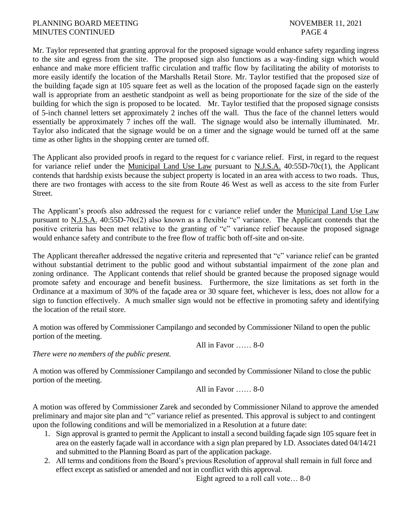Mr. Taylor represented that granting approval for the proposed signage would enhance safety regarding ingress to the site and egress from the site. The proposed sign also functions as a way-finding sign which would enhance and make more efficient traffic circulation and traffic flow by facilitating the ability of motorists to more easily identify the location of the Marshalls Retail Store. Mr. Taylor testified that the proposed size of the building façade sign at 105 square feet as well as the location of the proposed façade sign on the easterly wall is appropriate from an aesthetic standpoint as well as being proportionate for the size of the side of the building for which the sign is proposed to be located. Mr. Taylor testified that the proposed signage consists of 5-inch channel letters set approximately 2 inches off the wall. Thus the face of the channel letters would essentially be approximately 7 inches off the wall. The signage would also be internally illuminated. Mr. Taylor also indicated that the signage would be on a timer and the signage would be turned off at the same time as other lights in the shopping center are turned off.

The Applicant also provided proofs in regard to the request for c variance relief. First, in regard to the request for variance relief under the Municipal Land Use Law pursuant to N.J.S.A. 40:55D-70c(1), the Applicant contends that hardship exists because the subject property is located in an area with access to two roads. Thus, there are two frontages with access to the site from Route 46 West as well as access to the site from Furler Street.

The Applicant's proofs also addressed the request for c variance relief under the Municipal Land Use Law pursuant to N.J.S.A. 40:55D-70c(2) also known as a flexible "c" variance. The Applicant contends that the positive criteria has been met relative to the granting of "c" variance relief because the proposed signage would enhance safety and contribute to the free flow of traffic both off-site and on-site.

The Applicant thereafter addressed the negative criteria and represented that "c" variance relief can be granted without substantial detriment to the public good and without substantial impairment of the zone plan and zoning ordinance. The Applicant contends that relief should be granted because the proposed signage would promote safety and encourage and benefit business. Furthermore, the size limitations as set forth in the Ordinance at a maximum of 30% of the façade area or 30 square feet, whichever is less, does not allow for a sign to function effectively. A much smaller sign would not be effective in promoting safety and identifying the location of the retail store.

A motion was offered by Commissioner Campilango and seconded by Commissioner Niland to open the public portion of the meeting.

All in Favor …… 8-0

*There were no members of the public present.*

A motion was offered by Commissioner Campilango and seconded by Commissioner Niland to close the public portion of the meeting.

All in Favor …… 8-0

A motion was offered by Commissioner Zarek and seconded by Commissioner Niland to approve the amended preliminary and major site plan and "c" variance relief as presented. This approval is subject to and contingent upon the following conditions and will be memorialized in a Resolution at a future date:

- 1. Sign approval is granted to permit the Applicant to install a second building façade sign 105 square feet in area on the easterly façade wall in accordance with a sign plan prepared by I.D. Associates dated 04/14/21 and submitted to the Planning Board as part of the application package.
- 2. All terms and conditions from the Board's previous Resolution of approval shall remain in full force and effect except as satisfied or amended and not in conflict with this approval.

Eight agreed to a roll call vote… 8-0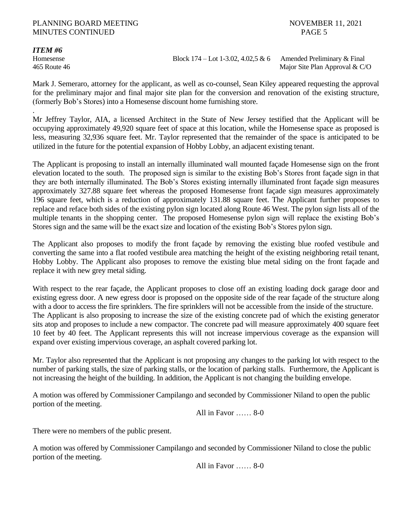### PLANNING BOARD MEETING NOVEMBER 11, 2021 MINUTES CONTINUED PAGE 5

### *ITEM #6*

Homesense Block 174 – Lot 1-3.02, 4.02,5 & 6Amended Preliminary & Final 465 Route 46Major Site Plan Approval & C/O

Mark J. Semeraro, attorney for the applicant, as well as co-counsel, Sean Kiley appeared requesting the approval for the preliminary major and final major site plan for the conversion and renovation of the existing structure, (formerly Bob's Stores) into a Homesense discount home furnishing store.

. Mr Jeffrey Taylor, AIA, a licensed Architect in the State of New Jersey testified that the Applicant will be occupying approximately 49,920 square feet of space at this location, while the Homesense space as proposed is less, measuring 32,936 square feet. Mr. Taylor represented that the remainder of the space is anticipated to be utilized in the future for the potential expansion of Hobby Lobby, an adjacent existing tenant.

The Applicant is proposing to install an internally illuminated wall mounted façade Homesense sign on the front elevation located to the south. The proposed sign is similar to the existing Bob's Stores front façade sign in that they are both internally illuminated. The Bob's Stores existing internally illuminated front façade sign measures approximately 327.88 square feet whereas the proposed Homesense front façade sign measures approximately 196 square feet, which is a reduction of approximately 131.88 square feet. The Applicant further proposes to replace and reface both sides of the existing pylon sign located along Route 46 West. The pylon sign lists all of the multiple tenants in the shopping center. The proposed Homesense pylon sign will replace the existing Bob's Stores sign and the same will be the exact size and location of the existing Bob's Stores pylon sign.

The Applicant also proposes to modify the front façade by removing the existing blue roofed vestibule and converting the same into a flat roofed vestibule area matching the height of the existing neighboring retail tenant, Hobby Lobby. The Applicant also proposes to remove the existing blue metal siding on the front façade and replace it with new grey metal siding.

With respect to the rear façade, the Applicant proposes to close off an existing loading dock garage door and existing egress door. A new egress door is proposed on the opposite side of the rear façade of the structure along with a door to access the fire sprinklers. The fire sprinklers will not be accessible from the inside of the structure. The Applicant is also proposing to increase the size of the existing concrete pad of which the existing generator sits atop and proposes to include a new compactor. The concrete pad will measure approximately 400 square feet 10 feet by 40 feet. The Applicant represents this will not increase impervious coverage as the expansion will expand over existing impervious coverage, an asphalt covered parking lot.

Mr. Taylor also represented that the Applicant is not proposing any changes to the parking lot with respect to the number of parking stalls, the size of parking stalls, or the location of parking stalls. Furthermore, the Applicant is not increasing the height of the building. In addition, the Applicant is not changing the building envelope.

A motion was offered by Commissioner Campilango and seconded by Commissioner Niland to open the public portion of the meeting.

All in Favor …… 8-0

There were no members of the public present.

A motion was offered by Commissioner Campilango and seconded by Commissioner Niland to close the public portion of the meeting.

All in Favor …… 8-0